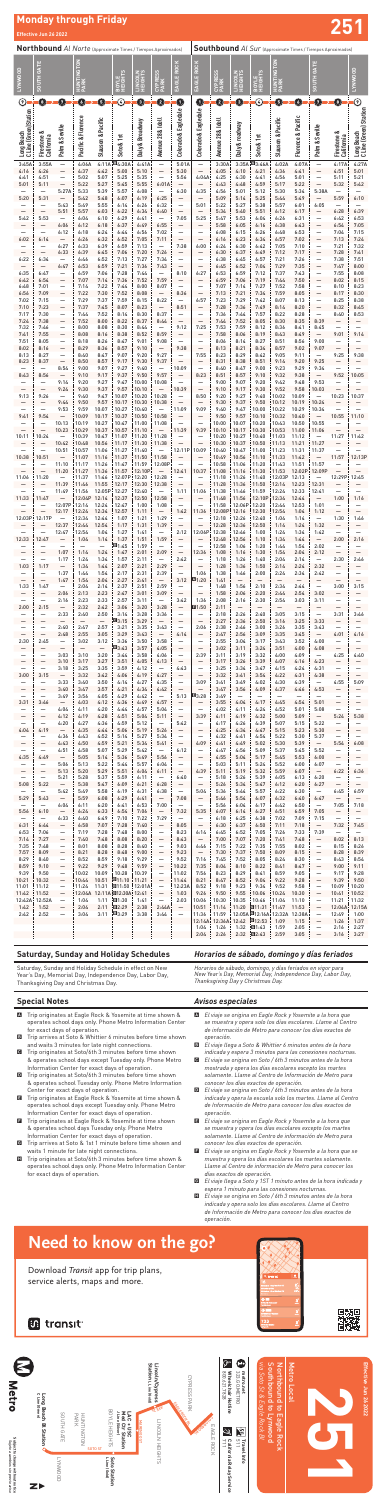# **Monday through Friday Effective Jun 26 2022 251**

#### **Special Notes**

- A Trip originates at Eagle Rock & Yosemite at time shown & operates school days only. Phone Metro Information Center for exact days of operation.
- B Trip arrives at Soto & Whittier 6 minutes before time shown and waits 3 minutes for late night connections.
- C Trip originates at Soto/6th 3 minutes before time shown & operates school days except Tuesday only. Phone Metro Information Center for exact days of operation.
- Trip originates at Soto/6th 3 minutes before time shown nip originates at 5000/601 3 minutes before thre shown<br>& operates school Tuesday only. Phone Metro Information *conc*<br>Center for exact days of operation. **DELECT CONVERG** Center for exact days of operation.
- E Trip originates at Eagle Rock & Yosemite at time shown & operates school days except Tuesday only. Phone Metro Information Center for exact days of operation.
- **E** Trip originates at Eagle Rock & Yosemite at time shown & operates school days Tuesday only. Phone Metro Information Center for exact days of operation.
- G Trip arrives at Soto & 1st 1 minute before time shown and waits 1 minute for late night connections.
- **H** Trip originates at Soto/6th 3 minutes before time shown & operates school days only. Phone Metro Information Center for exact days of operation.

#### *Avisos especiales*

|                                     | <b>Northbound</b> Al Norte (Approximate Times / Tiempos Aproximados) |                                                               |                                           |                                          |                               |                          |                                                              |                                                       | <b>Southbound</b> Al Sur (Approximate Times / Tiempos Aproximados)   |                                            |                                          |                                           |                                          |                                  |                                                       |                                                               |                                       |  |
|-------------------------------------|----------------------------------------------------------------------|---------------------------------------------------------------|-------------------------------------------|------------------------------------------|-------------------------------|--------------------------|--------------------------------------------------------------|-------------------------------------------------------|----------------------------------------------------------------------|--------------------------------------------|------------------------------------------|-------------------------------------------|------------------------------------------|----------------------------------|-------------------------------------------------------|---------------------------------------------------------------|---------------------------------------|--|
| <b>TYNWOOD</b>                      | <b>SOUTH GATE</b>                                                    |                                                               | <b>NGTON</b><br>HUNTII<br>PARK            |                                          | BOYLE<br>HEIGHTS              | LINCOLN<br>HEIGHTS       | CYPRESS<br>PARK                                              | EAGLE ROCK                                            | EAGLE ROCK                                                           | CYPRESS<br>PARK                            | <b>LINCOLN</b>                           | BOYLE<br>HEIGHTS                          | HUNTINGTON<br>PARK                       |                                  | <b>SOUTH GATE</b>                                     |                                                               | <b>TYNWOOD</b>                        |  |
| $\odot$                             | O                                                                    | 0                                                             | O                                         | ❺                                        | $\copyright$                  | 0                        | ❹                                                            | $\mathbf 0$                                           | 0                                                                    | 0                                          | ❺                                        | $\odot$                                   | 0                                        | 0                                | 0                                                     | ❶                                                             | $\odot$                               |  |
| C Line (Green)Station<br>Long Beach | Firestone &<br>California                                            | Palm & Seville                                                | Pacific & Florence                        | Slauson & Pacific                        | Soto & 1st                    | Daly & Broadway          | Avenue 28 & Idell                                            | Colorado & Eagledale                                  | Colorado & Eagledale                                                 | Avenue 28 & Idell                          | Daly & roadway                           | Soto & 1st                                | Slauson & Pacific                        | <b>Florence &amp; Pacific</b>    | Palm & Seville                                        | Firestone &<br>California                                     | Long Beach<br>C Line (Green) Station  |  |
| 3:45A                               | 3:55A                                                                | $\overline{\phantom{0}}$                                      | 4:06A                                     | 4:11A                                    | <b>E4:30A</b>                 | 4:41A                    | $\overline{\phantom{0}}$                                     | 5:01A                                                 | $\overline{\phantom{0}}$                                             | 3:30A                                      | 3:35A                                    | <b>回3:46A</b>                             | 4:02A                                    | 4:07A                            |                                                       | 4:17A                                                         | 4:27A                                 |  |
| 4:16                                | 4:26                                                                 | $\qquad \qquad -$                                             | 4:37                                      | 4:42                                     | 5:00                          | 5:10                     | $\overline{\phantom{0}}$                                     | 5:30                                                  | $\equiv$                                                             | 4:05                                       | 4:10                                     | 4:21                                      | 4:36                                     | 4:41                             | $\overline{\phantom{0}}$                              | 4:51                                                          | 5:01                                  |  |
| 4:41                                | 4:51                                                                 | —                                                             | 5:02                                      | 5:07                                     | 5:25                          | 5:35                     | —                                                            | 5:56                                                  | 4:04A                                                                | 4:25                                       | 4:30                                     | 4:41                                      | 4:56                                     | 5:01                             | $\overline{\phantom{0}}$                              | 5:11                                                          | 5:21                                  |  |
| 5:01                                | 5:11                                                                 | $\overline{a}$                                                | 5:22                                      | 5:27                                     | 5:45                          | 5:55                     | 6:01A                                                        | $\overline{\phantom{0}}$                              | —                                                                    | 4:43                                       | 4:48                                     | 4:59                                      | 5:17                                     | 5:22                             | $\overline{\phantom{0}}$                              | 5:32                                                          | 5:42                                  |  |
| 5:20                                | $\overline{\phantom{0}}$<br>5:31<br>$\overline{\phantom{0}}$         | 5:27A<br>$\overline{\phantom{0}}$<br>5:43                     | 5:33<br>5:42<br>5:49                      | 5:39<br>5:48<br>5:55                     | 5:57<br>6:07<br>6:14          | 6:08<br>6:19<br>6:26     | 6:25<br>6:32                                                 | 6:30<br>—<br>$\overline{\phantom{0}}$                 | 4:35<br>$\overline{\phantom{0}}$<br>5:01                             | 4:56<br>5:09<br>5:22                       | 5:01<br>5:14<br>5:27                     | 5:12<br>5:25<br>5:38                      | 5:30<br>5:44<br>5:57                     | 5:34<br>5:49<br>6:01             | 5:38A<br>$\overline{\phantom{0}}$<br>6:05             | —<br>5:59<br>$\overline{\phantom{0}}$                         | 6:10                                  |  |
| $\overline{\phantom{0}}$            | $\overline{\phantom{0}}$                                             | 5:51                                                          | 5:57                                      | 6:03                                     | 6:22                          | 6:34                     | 6:40                                                         | $\qquad \qquad -$                                     | $\overline{\phantom{0}}$                                             | 5:34                                       | 5:40                                     | 5:51                                      | 6:12                                     | 6:17                             | —                                                     | 6:28                                                          | 6:39                                  |  |
| 5:42                                | 5:53                                                                 | $\qquad \qquad -$                                             | 6:04                                      | 6:10                                     | 6:29                          | 6:41                     | $\overline{\phantom{0}}$                                     | 7:05                                                  | 5:25                                                                 | 5:47                                       | 5:53                                     | 6:04                                      | 6:26                                     | 6:31                             | -                                                     | 6:42                                                          | 6:53                                  |  |
|                                     | —                                                                    | 6:06                                                          | 6:12                                      | 6:18                                     | 6:37                          | 6:49                     | 6:55                                                         | —                                                     | —                                                                    | 5:58                                       | 6:05                                     | 6:16                                      | 6:38                                     | 6:43                             | —                                                     | 6:54                                                          | 7:05                                  |  |
|                                     |                                                                      | 6:12                                                          | 6:18                                      | 6:24                                     | 6:44                          | 6:56                     | 7:02                                                         | $\overline{\phantom{0}}$                              | —                                                                    | 6:08                                       | 6:15                                     | 6:26                                      | 6:48                                     | 6:53                             | -                                                     | 7:04                                                          | 7:15                                  |  |
| 6:02                                | 6:14                                                                 | $\overline{\phantom{0}}$                                      | 6:26                                      | 6:32                                     | 6:52                          | 7:05                     | 7:11                                                         | $\overline{\phantom{0}}$                              | $\overline{\phantom{0}}$                                             | 6:16                                       | 6:23                                     | 6:34                                      | 6:57                                     | 7:02                             | —                                                     | 7:13                                                          | 7:24                                  |  |
|                                     | $\overline{\phantom{0}}$                                             | 6:27                                                          | 6:33                                      | 6:39                                     | 6:59                          | 7:13                     | $\overline{\phantom{0}}$                                     | 7:38                                                  | 6:00                                                                 | 6:24                                       | 6:30                                     | 6:42                                      | 7:05                                     | 7:10                             | $\overline{\phantom{0}}$                              | 7:21                                                          | 7:32                                  |  |
| $\overline{\phantom{0}}$            | $\overline{\phantom{0}}$                                             | 6:33                                                          | 6:39                                      | 6:45                                     | 7:06                          | 7:20                     | 7:26                                                         | —                                                     | —                                                                    | 6:30                                       | 6:37                                     | 6:49                                      | 7:12                                     | 7:17                             | —                                                     | 7:28                                                          | 7:41                                  |  |
| 6:22                                | 6:34                                                                 | $\overline{\phantom{0}}$                                      | 6:46                                      | 6:52                                     | 7:13                          | 7:27                     | 7:34                                                         | $\overline{\phantom{0}}$                              | —                                                                    | 6:38                                       | 6:45                                     | 6:57                                      | 7:21                                     | 7:26                             | $\overline{\phantom{0}}$                              | 7:38                                                          | 7:51                                  |  |
| 6:35                                | $\overline{\phantom{0}}$                                             | 6:47                                                          | 6:53                                      | 6:59                                     | 7:21                          | 7:36                     | 7:43                                                         | $\overline{\phantom{0}}$                              | $\overline{\phantom{0}}$                                             | 6:45                                       | 6:52                                     | 7:04                                      | 7:29                                     | 7:35                             | —                                                     | 7:47                                                          | 8:00                                  |  |
|                                     | 6:47                                                                 | $\qquad \qquad -$                                             | 6:59                                      | 7:06                                     | 7:28                          | 7:44                     | $\overline{\phantom{0}}$                                     | 8:10                                                  | 6:27                                                                 | 6:53                                       | 6:59                                     | 7:12                                      | 7:37                                     | 7:43                             | -                                                     | 7:55                                                          | 8:08                                  |  |
| 6:42                                | 6:54                                                                 | $\overline{\phantom{0}}$                                      | 7:07                                      | 7:14                                     | 7:36                          | 7:52                     | 7:59                                                         | —                                                     | —                                                                    | 6:59                                       | 7:06                                     | 7:19                                      | 7:44                                     | 7:50                             | —                                                     | 8:02                                                          | 8:15                                  |  |
| 6:48                                | 7:01                                                                 | —                                                             | 7:14                                      | 7:22                                     | 7:44                          | 8:00                     | 8:07                                                         | $\qquad \qquad -$                                     | —                                                                    | 7:07                                       | 7:14                                     | 7:27                                      | 7:52                                     | 7:58                             | $\overline{\phantom{0}}$                              | 8:10                                                          | 8:23                                  |  |
| 6:56                                | 7:09                                                                 | $\qquad \qquad -$                                             | 7:22                                      | 7:30                                     | 7:52                          | 8:08                     | $\overline{\phantom{0}}$                                     | 8:36                                                  |                                                                      | 7:13                                       | 7:21                                     | 7:34                                      | 7:59                                     | 8:05                             | —                                                     | 8:17                                                          | 8:30                                  |  |
| 7:02                                | 7:15                                                                 | —                                                             | 7:29                                      | 7:37                                     | 7:59                          | 8:15                     | 8:22                                                         | $\qquad \qquad -$                                     | 6:57                                                                 | 7:23                                       | 7:29                                     | 7:42                                      | 8:07                                     | 8:13                             | $\overline{\phantom{0}}$                              | 8:25                                                          | 8:38                                  |  |
| 7:10                                | 7:23                                                                 | $\qquad \qquad -$                                             | 7:37                                      | 7:45                                     | 8:07                          | 8:23                     | $\overline{\phantom{0}}$                                     | 8:51                                                  | —                                                                    | 7:28                                       | 7:36                                     | 7:49                                      | 8:14                                     | 8:20                             | —                                                     | 8:32                                                          | 8:45                                  |  |
| 7:17                                | 7:30                                                                 | —                                                             | 7:44                                      | 7:52                                     | 8:14                          | 8:30                     | 8:37                                                         | $\qquad \qquad -$                                     | —                                                                    | 7:36                                       | 7:44                                     | 7:57                                      | 8:22                                     | 8:28                             | $\overline{\phantom{0}}$                              | 8:40                                                          | 8:53                                  |  |
| 7:24                                | 7:38                                                                 | $\overline{\phantom{0}}$                                      | 7:52                                      | 8:00                                     | 8:22                          | 8:37                     | 8:44                                                         | $\overline{\phantom{0}}$                              | $\overline{\phantom{0}}$                                             | 7:44                                       | 7:52                                     | 8:05                                      | 8:30                                     | 8:35                             | 8:39                                                  | —                                                             |                                       |  |
| 7:32<br>7:41                        | 7:46<br>7:55                                                         | —<br>$\qquad \qquad -$                                        | 8:00<br>8:08                              | 8:08<br>8:16                             | 8:30<br>8:38                  | 8:44<br>8:52             | 8:59                                                         | 9:12<br>—                                             | 7:25<br>—                                                            | 7:53<br>7:58                               | 7:59<br>8:06                             | 8:12<br>8:19                              | 8:36<br>8:43                             | 8:41<br>8:49                     | 8:45<br>$\overline{\phantom{0}}$                      | —<br>9:01                                                     | 9:14                                  |  |
| 7:51                                | 8:05                                                                 | —                                                             | 8:18                                      | 8:26                                     | 8:47                          | 9:01                     | 9:08                                                         | $\qquad \qquad -$                                     | $\overline{\phantom{0}}$                                             | 8:06                                       | 8:14                                     | 8:27                                      | 8:51                                     | 8:56                             | 9:00                                                  | —                                                             | $\qquad \qquad -$                     |  |
| 8:02                                | 8:16                                                                 | $\qquad \qquad -$                                             | 8:29                                      | 8:36                                     | 8:57                          | 9:10                     | $\overline{\phantom{0}}$                                     | 9:38                                                  |                                                                      | 8:13                                       | 8:21                                     | 8:34                                      | 8:57                                     | 9:02                             | 9:07                                                  | $\overline{\phantom{0}}$                                      |                                       |  |
| 8:13<br>8:23                        | 8:27<br>8:37                                                         | —<br>$\overline{a}$                                           | 8:40<br>8:50                              | 8:47<br>8:57                             | 9:07<br>9:17                  | 9:20<br>9:30             | 9:27<br>9:37                                                 | $\qquad \qquad -$                                     | 7:55<br>—                                                            | 8:23<br>8:31                               | 8:29<br>8:38                             | 8:42<br>8:51                              | 9:05<br>9:14                             | 9:11<br>9:20                     | $\qquad \qquad -$<br>9:25                             | 9:25                                                          | 9:38                                  |  |
| 8:43                                | —<br>8:56<br>$\overline{\phantom{0}}$                                | 8:54<br>9:14                                                  | 9:00<br>9:10<br>9:20                      | 9:07<br>9:17<br>9:27                     | 9:27<br>9:37<br>9:47          | 9:40<br>9:50<br>10:00    | $\overline{\phantom{0}}$<br>9:57<br>10:08                    | 10:09<br>$\overline{\phantom{0}}$                     | $\overline{\phantom{0}}$<br>8:23                                     | 8:40<br>8:51<br>9:00                       | 8:47<br>8:57<br>9:07                     | 9:00<br>9:10<br>9:20                      | 9:23<br>9:32<br>9:42                     | 9:29<br>9:38<br>9:48             | 9:34<br>9:53                                          | 9:52                                                          | 10:05                                 |  |
| $\overline{\phantom{0}}$            |                                                                      | 9:24                                                          | 9:30                                      | 9:37                                     | 9:57                          | 10:10                    | $\overline{\phantom{0}}$                                     | 10:39                                                 | $\qquad \qquad -$                                                    | 9:10                                       | 9:17                                     | 9:30                                      | 9:52                                     | 9:58                             | 10:03                                                 | $\overline{\phantom{0}}$                                      | $\overline{\phantom{0}}$              |  |
| 9:13                                | 9:26                                                                 | $\overline{\phantom{m}}$                                      | 9:40                                      | 9:47                                     | 10:07                         | 10:20                    | 10:28                                                        | $\qquad \qquad -$                                     | 8:50                                                                 | 9:20                                       | 9:27                                     | 9:40                                      | 10:02                                    | 10:09                            | $\overline{\phantom{0}}$                              | 10:23                                                         | 10:37                                 |  |
| $\overline{\phantom{0}}$            | —<br>$\overline{\phantom{0}}$                                        | 9:44<br>9:53                                                  | 9:50<br>9:59                              | 9:57<br>10:07                            | 10:17<br>10:27                | 10:30<br>10:40           | 10:38<br>$\overline{\phantom{m}}$                            | $\qquad \qquad -$<br>11:09                            | $\overline{\phantom{0}}$<br>9:09                                     | 9:30<br>9:40                               | 9:37<br>9:47                             | 9:50<br>10:00                             | 10:12<br>10:22                           | 10:19<br>10:29                   | 10:24<br>10:34                                        | —<br>—                                                        |                                       |  |
| 9:41                                | 9:54<br>$\overline{\phantom{0}}$                                     | $\overline{\phantom{0}}$<br>10:13                             | 10:09<br>10:19                            | 10:17<br>10:27                           | 10:37<br>10:47                | 10:50<br>11:00           | 10:58<br>11:08                                               | $\qquad \qquad -$<br>$\overline{\phantom{0}}$         | $\qquad \qquad -$<br>$\overline{\phantom{0}}$                        | 9:50<br>10:00                              | 9:57<br>10:07                            | 10:10<br>10:20                            | 10:32<br>10:43                           | 10:40<br>10:50                   | $\qquad \qquad -$<br>10:55                            | 10:55<br>—                                                    | 11:10                                 |  |
| 10:11                               | $\overline{\phantom{0}}$                                             | 10:23                                                         | 10:29                                     | 10:37                                    | 10:57                         | 11:10                    | $\overline{\phantom{m}}$                                     | 11:39                                                 | 9:39                                                                 | 10:10                                      | 10:17                                    | 10:30                                     | 10:53                                    | 11:00                            | 11:06                                                 | $\overline{\phantom{0}}$                                      | $\qquad \qquad -$                     |  |
|                                     | 10:24                                                                | $\qquad \qquad -$                                             | 10:39                                     | 10:47                                    | 11:07                         | 11:20                    | 11:28                                                        | $\qquad \qquad -$                                     | $\qquad \qquad -$                                                    | 10:20                                      | 10:27                                    | 10:40                                     | 11:03                                    | 11:12                            | —                                                     | 11:27                                                         | 11:42                                 |  |
|                                     | —<br>$\overline{\phantom{0}}$                                        | 10:42<br>10:51                                                | 10:48<br>10:57                            | 10:56<br>11:06                           | 11:17<br>11:27                | 11:30<br>11:40           | 11:38<br>$\overline{\phantom{m}}$                            | $\overline{\phantom{0}}$<br>12:11P                    | $\overline{\phantom{0}}$<br>10:09                                    | 10:30<br>10:40                             | 10:37<br>10:47                           | 10:50<br>11:00                            | 11:13<br>11:23                           | 11:21<br>11:31                   | 11:27<br>11:37                                        | —<br>—                                                        |                                       |  |
| 10:38<br>$\overline{\phantom{0}}$   | 10:51<br>$\overline{\phantom{0}}$<br>$\overline{\phantom{0}}$        | $\overline{\phantom{m}}$<br>11:10<br>11:20                    | 11:07<br>11:17<br>11:27                   | 11:16<br>11:26<br>11:36                  | 11:37<br>11:47<br>11:57       | 11:50<br>11:59<br>12:10P | 11:58<br>12:08P<br>$\qquad \qquad -$                         | —<br>$\overline{\phantom{0}}$<br>12:41                | $\overline{\phantom{0}}$<br>$\overline{\phantom{0}}$<br>10:37        | 10:49<br>10:58<br>11:08                    | 10:56<br>11:06<br>11:16                  | 11:10<br>11:20<br>11:30                   | 11:33<br>11:43<br>11:53                  | 11:42<br>11:51<br>12:02P         | $\overline{\phantom{0}}$<br>11:57<br>12:09P           | 11:57<br>$\overline{\phantom{0}}$<br>$\overline{\phantom{0}}$ | 12:13P<br>$\overline{\phantom{0}}$    |  |
| 11:06                               | 11:20                                                                | $\overline{\phantom{m}}$                                      | 11:37                                     | 11:46                                    | 12:07P                        | 12:20                    | 12:28                                                        | $\qquad \qquad -$                                     |                                                                      | 11:18                                      | 11:26                                    | 11:40                                     | 12:03P                                   | 12:13                            | $\overline{\phantom{0}}$                              | 12:29P                                                        | 12:45                                 |  |
| —                                   | —                                                                    | 11:39                                                         | 11:46                                     | 11:55                                    | 12:17                         | 12:30                    | 12:38                                                        | $\overline{\phantom{0}}$                              |                                                                      | 11:28                                      | 11:36                                    | 11:50                                     | 12:14                                    | 12:23                            | 12:31                                                 | —                                                             |                                       |  |
| $\overline{\phantom{0}}$            | —                                                                    | 11:49                                                         | 11:56                                     | 12:05P                                   | 12:27                         | 12:40                    | $\qquad \qquad -$                                            | 1:11                                                  | 11:06                                                                | 11:38                                      | 11:46                                    | 11:59                                     | 12:24                                    | 12:33                            | 12:41                                                 | —                                                             | $\qquad \qquad -$                     |  |
| 11:33                               | 11:47                                                                | $\overline{\phantom{0}}$                                      | 12:04P                                    | 12:14                                    | 12:37                         | 12:50                    | 12:58                                                        | $\qquad \qquad -$                                     | $\qquad \qquad -$                                                    | 11:48                                      | 11:56                                    | 12:10P                                    | 12:34                                    | 12:44                            | $\qquad \qquad -$                                     | 1:00                                                          | 1:16                                  |  |
|                                     | —<br>$\overline{\phantom{0}}$                                        | 12:07P<br>12:17                                               | 12:14<br>12:24                            | 12:24<br>12:34                           | 12:47<br>12:57                | 1:00<br>1:11             | 1:08<br>$\overline{\phantom{m}}$                             | $\overline{\phantom{0}}$<br>1:42                      | $\overline{\phantom{0}}$<br>11:36                                    | 11:58<br>12:08P: 12:16                     | 12:06P                                   | 12:20<br>12:30                            | 12:44<br>12:54                           | 12:53<br>1:04                    | 1:01<br>1:12                                          | $\qquad \qquad -$<br>$\overline{\phantom{0}}$                 | —<br>$\qquad \qquad -$                |  |
| 12:03P                              | 12:17P<br>—                                                          | 12:37                                                         | 12:34<br>12:44                            | 12:44<br>12:54                           | 1:07<br>1:17                  | 1:21<br>1:31             | 1:29<br>1:39                                                 | $\overline{\phantom{0}}$<br>$\qquad \qquad -$         | $\overline{\phantom{0}}$<br>$\overline{\phantom{0}}$                 | 12:18<br>12:28                             | 12:26<br>12:36                           | 12:40<br>12:50                            | 1:04<br>1:14                             | 1:14<br>1:24                     | $\qquad \qquad -$<br>1:32                             | 1:30<br>—                                                     | 1:46                                  |  |
| 12:33                               | 12:47<br>—                                                           | 12:47<br>$\overline{\phantom{0}}$<br>$\overline{\phantom{0}}$ | 12:54<br>1:04<br>$\overline{\phantom{0}}$ | 1:04<br>1:14<br>$\qquad \qquad -$        | 1:27<br>1:37<br>⊡1:45         | 1:41<br>1:51<br>1:59     | $\overline{\phantom{m}}$<br>1:59<br>$\overline{\phantom{0}}$ | 2:12<br>$\qquad \qquad -$<br>$\overline{\phantom{0}}$ | 12:06P 12:38<br>$\overline{\phantom{0}}$<br>$\overline{\phantom{0}}$ | 12:48<br>12:58                             | 12:46<br>12:56<br>1:06                   | 1:00<br>1:10<br>1:20                      | 1:24<br>1:34<br>1:44                     | 1:34<br>1:44<br>1:54             | 1:42<br>$\overline{\phantom{0}}$<br>2:02              | $\qquad \qquad -$<br>2:00<br>—                                | $\overline{\phantom{0}}$<br>2:16      |  |
| —                                   | $\overline{\phantom{0}}$                                             | 1:07                                                          | 1:14                                      | 1:24                                     | 1:47                          | 2:01                     | 2:09                                                         | $\qquad \qquad -$                                     | 12:36                                                                | 1:08                                       | 1:16                                     | 1:30                                      | 1:54                                     | 2:04                             | 2:12                                                  | $\qquad \qquad -$                                             | $\overline{\phantom{m}}$              |  |
|                                     | $\overline{\phantom{0}}$                                             | 1:17                                                          | 1:24                                      | 1:34                                     | 1:57                          | 2:11                     | $\overline{\phantom{m}}$                                     | 2:42                                                  |                                                                      | 1:18                                       | 1:26                                     | 1:40                                      | 2:04                                     | 2:14                             | $\overline{\phantom{m}}$                              | 2:30                                                          | 2:46                                  |  |
| 1:03                                | 1:17                                                                 | $\qquad \qquad -$                                             | 1:34                                      | 1:44                                     | 2:07                          | 2:21                     | 2:29                                                         | —                                                     | $\equiv$                                                             | 1:28                                       | 1:36                                     | 1:50                                      | 2:14                                     | 2:24                             | 2:32                                                  | $\overline{\phantom{0}}$                                      | —                                     |  |
|                                     | $\overline{\phantom{0}}$                                             | 1:37                                                          | 1:44                                      | 1:54                                     | 2:17                          | 2:31                     | 2:39                                                         | $\qquad \qquad -$                                     | 1:06                                                                 | 1:38                                       | 1:46                                     | 2:00                                      | 2:24                                     | 2:34                             | 2:42                                                  | —                                                             | —                                     |  |
| $\overline{\phantom{0}}$            |                                                                      | 1:47                                                          | 1:54                                      | 2:04                                     | 2:27                          | 2:41                     | $\qquad \qquad -$                                            | 3:12                                                  | $\blacksquare$ 1:20                                                  | 1:41                                       | $\overline{\phantom{m}}$                 | $\qquad \qquad -$                         | $\overline{\phantom{m}}$                 | —                                | —                                                     | 3:00                                                          | $\overline{\phantom{0}}$              |  |
| 1:33                                | 1:47                                                                 | $\overline{\phantom{m}}$                                      | 2:04                                      | 2:14                                     | 2:37                          | 2:51                     | 2:59                                                         | $\qquad \qquad -$                                     | $\overline{\phantom{0}}$                                             | 1:48                                       | 1:56                                     | 2:10                                      | 2:34                                     | 2:44                             | $\qquad \qquad -$                                     |                                                               | 3:15                                  |  |
| -                                   | $\overline{\phantom{0}}$                                             | 2:06                                                          | 2:13                                      | 2:23                                     | 2:47                          | 3:01                     | 3:09                                                         | $\qquad \qquad -$                                     | $\equiv$                                                             | 1:58                                       | 2:06                                     | 2:20                                      | 2:44                                     | 2:54                             | 3:02                                                  | $\qquad \qquad -$                                             | $\qquad \qquad -$                     |  |
| $\overline{\phantom{0}}$            | $\overline{\phantom{0}}$                                             | 2:16                                                          | 2:23                                      | 2:33                                     | 2:57                          | 3:11                     | $\overline{\phantom{m}}$                                     | 3:42                                                  | 1:36                                                                 | 2:08                                       | 2:16                                     | 2:30                                      | 2:54                                     | 3:03                             | 3:11                                                  | —                                                             | —                                     |  |
| 2:00                                | 2:15<br>$\overline{\phantom{0}}$                                     | $\qquad \qquad -$<br>2:33                                     | 2:32<br>2:40                              | 2:42<br>2:50                             | 3:06<br>3:14                  | 3:20<br>3:28             | 3:28<br>3:36                                                 | $\qquad \qquad -$<br>$\qquad \qquad -$                | ■1:50<br>—<br>$\overline{\phantom{0}}$                               | 2:11<br>2:18                               | $\overline{\phantom{m}}$<br>2:26         | $\qquad \qquad -$<br>2:40                 | $\qquad \qquad -$<br>3:05                | $\overline{\phantom{0}}$<br>3:15 | —<br>$\overline{\phantom{0}}$                         | 3:31                                                          | $\qquad \qquad -$<br>3:46             |  |
| -<br>$\overline{\phantom{0}}$       | —<br>—<br>$\overline{\phantom{0}}$                                   | $\qquad \qquad -$<br>2:40<br>2:48                             | $\qquad \qquad -$<br>2:47<br>2:55         | $\overline{\phantom{0}}$<br>2:57<br>3:05 | Q3:15<br>3:21<br>3:29         | 3:29<br>3:35<br>3:43     | $\overline{\phantom{0}}$<br>3:43<br>$\overline{\phantom{m}}$ | —<br>$\qquad \qquad -$<br>4:14                        | 2:06<br>$\overline{\phantom{0}}$                                     | 2:27<br>2:38<br>2:47                       | 2:36<br>2:46<br>2:56                     | 2:50<br>3:00<br>3:09                      | 3:16<br>3:26<br>3:35                     | 3:25<br>3:35<br>3:45             | 3:33<br>3:43<br>$\qquad \qquad -$                     | —<br>—<br>4:01                                                | —<br>$\overline{\phantom{0}}$<br>4:16 |  |
| 2:30                                | 2:45<br>-                                                            | $\overline{\phantom{m}}$<br>$\qquad \qquad -$                 | 3:02<br>—                                 | 3:12<br>$\overline{\phantom{m}}$         | 3:36<br>$\Pi$ 3:43            | 3:50<br>3:57             | 3:58<br>4:05                                                 | $\qquad \qquad -$<br>—                                | $\overline{\phantom{0}}$                                             | 2:55<br>3:02                               | 3:04<br>3:11                             | 3:17<br>3:24                              | 3:43<br>3:51                             | 3:52<br>4:00                     | 4:00<br>4:08                                          | $\overline{\phantom{0}}$<br>$\qquad \qquad -$                 | $\overline{\phantom{0}}$              |  |
| -                                   | —                                                                    | 3:03                                                          | 3:10                                      | 3:20                                     | 3:44                          | 3:58                     | 4:06                                                         | $\qquad \qquad -$                                     | 2:39                                                                 | 3:11                                       | 3:19                                     | 3:32                                      | 4:00                                     | 4:09                             | $\qquad \qquad -$                                     | 4:25                                                          | 4:40                                  |  |
| —                                   | —                                                                    | 3:10                                                          | 3:17                                      | 3:27                                     | 3:51                          | 4:05                     | 4:13                                                         | $\qquad \qquad -$                                     | —                                                                    | 3:17                                       | 3:26                                     | 3:39                                      | 4:07                                     | 4:16                             | 4:23                                                  | —                                                             |                                       |  |
| 3:00                                | $\overline{\phantom{0}}$<br>3:15                                     | 3:18<br>$\qquad \qquad -$                                     | 3:25<br>3:32                              | 3:35<br>3:42                             | 3:59<br>4:06                  | 4:12<br>4:19             | $\overline{\phantom{m}}$<br>4:27                             | 4:43<br>—                                             | $\overline{\phantom{0}}$                                             | 3:25<br>3:32                               | 3:34<br>3:41                             | 3:47<br>3:54                              | 4:15<br>4:22                             | 4:24<br>4:31                     | 4:31<br>4:38                                          | —<br>—                                                        |                                       |  |
| —                                   | $\overline{\phantom{0}}$<br>—<br>—                                   | 3:33<br>3:40                                                  | 3:40<br>3:47                              | 3:50<br>3:57                             | 4:14<br>4:21<br>4:29          | 4:27<br>4:34<br>4:42     | 4:35<br>4:42<br>$\overline{\phantom{0}}$                     | $\overline{\phantom{0}}$<br>$\qquad \qquad -$<br>5:13 | 3:09<br>—<br>■3:28                                                   | 3:41<br>3:47<br>3:49                       | 3:49<br>3:56<br>$\overline{\phantom{0}}$ | 4:02<br>4:09<br>$\overline{\phantom{0}}$  | 4:30<br>4:37<br>$\overline{\phantom{0}}$ | 4:39<br>4:46<br>—                | $\qquad \qquad -$<br>4:53<br>$\overline{\phantom{0}}$ | 4:55<br>—                                                     | 5:09<br>$\overline{\phantom{0}}$      |  |
| 3:31                                | 3:46<br>$\overline{\phantom{0}}$                                     | 3:49<br>$\qquad \qquad -$<br>4:04                             | 3:56<br>4:03<br>4:11                      | 4:05<br>4:12<br>4:20                     | 4:36<br>4:44                  | 4:49<br>4:57             | 4:57<br>5:04                                                 | —<br>—                                                | —<br>$\overline{\phantom{0}}$                                        | 3:55<br>4:02                               | 4:04<br>4:11                             | 4:17<br>4:24                              | 4:45<br>4:52                             | 4:54<br>5:01                     | 5:01<br>5:08                                          | —                                                             | —                                     |  |
|                                     | $\overline{\phantom{0}}$                                             | 4:12<br>4:20                                                  | 4:19<br>4:27                              | 4:28<br>4:36                             | 4:51<br>4:59                  | 5:04<br>5:12             | 5:11<br>$\overline{\phantom{m}}$                             | 5:42                                                  | 3:39<br>$\overline{\phantom{0}}$                                     | 4:11<br>4:17                               | 4:19<br>4:26                             | 4:32<br>4:39                              | 5:00<br>5:07                             | 5:09<br>5:15                     | 5:22                                                  | 5:24<br>-                                                     | 5:38<br>—                             |  |
| 4:04                                | 4:19                                                                 | $\overline{\phantom{m}}$                                      | 4:35                                      | 4:44                                     | 5:06                          | 5:19                     | 5:26                                                         | $\qquad \qquad -$                                     | $\overline{\phantom{0}}$                                             | 4:25                                       | 4:34                                     | 4:47                                      | 5:15                                     | 5:23                             | 5:30                                                  | $\overline{\phantom{0}}$                                      | $\qquad \qquad -$                     |  |
| $\overline{\phantom{0}}$            | $\overline{\phantom{0}}$                                             | 4:36                                                          | 4:43                                      | 4:52                                     | 5:14                          | 5:27                     | 5:34                                                         | $\qquad \qquad -$                                     | $\overline{\phantom{0}}$                                             | 4:32                                       | 4:41                                     | 4:54                                      | 5:22                                     | 5:30                             | 5:37                                                  | $\qquad \qquad -$                                             | $\qquad \qquad -$                     |  |
| $\overline{\phantom{0}}$            | $\overline{\phantom{0}}$                                             | 4:43                                                          | 4:50                                      | 4:59                                     | 5:21                          | 5:34                     | 5:41                                                         | $\qquad \qquad -$                                     | 4:09                                                                 | 4:41                                       | 4:49                                     | 5:02                                      | 5:30                                     | 5:39                             | $-$                                                   | 5:54                                                          | 6:08                                  |  |
| —                                   | $\overline{\phantom{0}}$                                             | 4:51                                                          | 4:58                                      | 5:07                                     | 5:29                          | 5:42                     | $\overline{\phantom{m}}$                                     | 6:12                                                  | $\overline{\phantom{m}}$                                             | 4:47                                       | 4:56                                     | 5:09                                      | 5:37                                     | 5:45                             | 5:52                                                  | $\qquad \qquad -$                                             | $\qquad \qquad -$                     |  |
| 4:35                                | 4:49                                                                 | $\overline{\phantom{0}}$                                      | 5:05                                      | 5:14                                     | 5:36                          | 5:49                     | 5:56                                                         | $\qquad \qquad -$                                     | $\qquad \qquad -$                                                    | 4:55                                       | 5:04                                     | 5:17                                      | 5:45                                     | 5:53                             | 6:00                                                  | $\overline{\phantom{0}}$                                      | $\qquad \qquad -$                     |  |
| $\qquad \qquad -$                   | $\overline{\phantom{0}}$                                             | 5:06                                                          | 5:13                                      | 5:22                                     | 5:44                          | 5:57                     | 6:04                                                         | $\qquad \qquad -$                                     | $\overline{\phantom{0}}$                                             | 5:03                                       | 5:11                                     | 5:24                                      | 5:52                                     | 6:00                             | 6:07                                                  | $\qquad \qquad -$                                             | $\qquad \qquad -$                     |  |
| $\overline{\phantom{0}}$            | $\overline{\phantom{0}}$                                             | 5:13                                                          | 5:20                                      | 5:29                                     | 5:51                          | 6:04                     | 6:11                                                         | $\overline{\phantom{0}}$                              | 4:39                                                                 | 5:11                                       | 5:19                                     | 5:32                                      | 5:59                                     | 6:07                             | $-$                                                   | 6:22                                                          | 6:36                                  |  |
| $\overline{\phantom{0}}$            | $\overline{\phantom{m}}$                                             | 5:21                                                          | 5:28                                      | 5:37                                     | 5:59                          | 6:11                     | $\overline{\phantom{m}}$                                     | 6:40                                                  | $\overline{\phantom{m}}$                                             | 5:18                                       | 5:26                                     | 5:39                                      | 6:05                                     | 6:13                             | 6:20                                                  | $\qquad \qquad -$                                             | $\qquad \qquad -$                     |  |
| 5:08                                | 5:22                                                                 | $\overline{\phantom{m}}$                                      | 5:38                                      | 5:47                                     | 6:09                          | 6:21                     | 6:28                                                         | $\overline{\phantom{0}}$                              | $\overline{\phantom{0}}$                                             | 5:26                                       | 5:34                                     | 5:47                                      | 6:12                                     | 6:20                             | 6:27                                                  | $\overline{\phantom{m}}$                                      | $\overline{\phantom{0}}$              |  |
| $\overline{\phantom{0}}$            | $\overline{\phantom{m}}$                                             | 5:42                                                          | 5:49                                      | 5:58                                     | 6:19                          | 6:31                     | 6:38                                                         | $\overline{\phantom{m}}$                              | 5:04                                                                 | 5:36                                       | 5:44                                     | 5:57                                      | 6:22                                     | 6:30                             | $\qquad \qquad -$                                     | 6:45                                                          | 6:59                                  |  |
| 5:29                                | 5:43                                                                 | $\overline{\phantom{m}}$                                      | 5:59                                      | 6:08                                     | 6:29                          | 6:41                     | $-$                                                          | 7:08                                                  | $\overline{\phantom{m}}$                                             | 5:46                                       | 5:54                                     | 6:07                                      | 6:32                                     | 6:40                             | 6:47                                                  | $\qquad \qquad -$                                             | $\overline{\phantom{m}}$              |  |
| $\overline{\phantom{0}}$            | $\overline{\phantom{m}}$                                             | 6:04                                                          | 6:11                                      | 6:20                                     | 6:41                          | 6:53                     | 7:00                                                         | $\overline{\phantom{m}}$                              | $\overline{\phantom{0}}$                                             | 5:56                                       | 6:04                                     | 6:17                                      | 6:42                                     | 6:50                             | $\overline{\phantom{m}}$                              | 7:05                                                          | 7:18                                  |  |
| 5:56                                | 6:10                                                                 | $\overline{\phantom{m}}$                                      | 6:24                                      | 6:33                                     | 6:54                          | 7:06                     | $\overline{\phantom{m}}$                                     | 7:32                                                  | 5:35                                                                 | 6:07                                       | 6:14                                     | 6:27                                      | 6:51                                     | 6:59                             | 7:05                                                  | $\overline{\phantom{0}}$                                      | $\qquad \qquad -$                     |  |
| $\overline{\phantom{0}}$            | $\overline{\phantom{m}}$                                             | 6:33                                                          | 6:40                                      | 6:49                                     | 7:10                          | 7:22                     | 7:29                                                         | $\overline{\phantom{m}}$                              | $\overline{\phantom{m}}$                                             | 6:18                                       | 6:25                                     | 6:38                                      | 7:02                                     | 7:09                             | 7:15                                                  | $\qquad \qquad -$                                             | $\qquad \qquad -$                     |  |
| 6:31                                | 6:44                                                                 | $\qquad \qquad -$                                             | 6:58                                      | 7:07                                     | 7:28                          | 7:40                     | $\qquad \qquad -$                                            | 8:05                                                  | $\qquad \qquad -$                                                    | 6:30                                       | 6:37                                     | 6:50                                      | 7:11                                     | 7:18                             | $\overline{\phantom{0}}$                              | 7:32                                                          | 7:45                                  |  |
| 6:53                                | 7:06                                                                 | $\qquad \qquad -$                                             | 7:19                                      | 7:28                                     | 7:48                          | 8:00                     | $\qquad \qquad -$                                            | 8:23                                                  | 6:14                                                                 | 6:45                                       | 6:52                                     | 7:05                                      | 7:26                                     | 7:33                             | 7:39                                                  | $\qquad \qquad -$                                             | $\qquad \qquad -$                     |  |
| 7:14                                | 7:27                                                                 | $\overline{\phantom{0}}$                                      | 7:40                                      | 7:48                                     | 8:08                          | 8:20                     | $\overline{\phantom{0}}$                                     | 8:43                                                  | $\overline{\phantom{m}}$                                             | 7:00                                       | 7:07                                     | 7:20                                      | 7:41                                     | 7:48                             | $\overline{\phantom{0}}$                              | 8:02                                                          | 8:13                                  |  |
| 7:35                                | 7:48                                                                 | $\qquad \qquad -$                                             | 8:01                                      | 8:08                                     | 8:28                          | 8:40                     | —                                                            | 9:03                                                  | 6:46                                                                 | 7:15                                       | 7:22                                     | 7:35                                      | 7:55                                     | 8:02                             | $\overline{\phantom{0}}$                              | 8:15                                                          | 8:26                                  |  |
| 7:57                                | 8:09                                                                 | $\qquad \qquad -$                                             | 8:21                                      | 8:28                                     | 8:48                          | 9:00                     | —                                                            | 9:23                                                  | $\overline{\phantom{m}}$                                             | 7:30                                       | 7:37                                     | 7:50                                      | 8:09                                     | 8:15                             | $\qquad \qquad -$                                     | 8:28                                                          | 8:39                                  |  |
| 8:29                                | 8:40                                                                 | $\qquad \qquad -$                                             | 8:52                                      | 8:59                                     | 9:18                          | 9:29                     | —                                                            | 9:52                                                  | 7:16                                                                 | 7:45                                       | 7:52                                     | 8:05                                      | 8:24                                     | 8:30                             | $\qquad \qquad -$                                     | 8:43                                                          | 8:54                                  |  |
| 8:59                                | 9:10                                                                 | $\qquad \qquad -$                                             | 9:22                                      | 9:29                                     | 9:48                          | 9:59                     | —                                                            | 10:22                                                 | 7:35                                                                 | 8:04                                       | 8:10                                     | 8:22                                      | 8:41                                     | 8:47                             | $\overline{\phantom{0}}$                              | 9:00                                                          | 9:11                                  |  |
| 9:39                                | 9:50                                                                 | $\qquad \qquad -$                                             | 10:02                                     | 10:09                                    | 10:28                         | 10:39                    | —                                                            | 11:02                                                 | 7:56                                                                 | 8:23                                       | 8:29                                     | 8:41                                      | 8:59                                     | 9:05                             | —                                                     | 9:17                                                          | 9:28                                  |  |
| 10:21                               | 10:32                                                                | $\overline{\phantom{m}}$                                      | 10:44                                     |                                          | 10:51 311:10                  | 11:21                    | $\overline{\phantom{0}}$                                     | 11:44                                                 | 8:21                                                                 | 8:47                                       | 8:52                                     | 9:04                                      | 9:22                                     | 9:28                             | $\overline{\phantom{0}}$                              | 9:39                                                          | 9:50                                  |  |
| 11:01                               | 11:12                                                                | $\qquad \qquad -$                                             | 11:24                                     |                                          | 11:31 211:50                  | 12:01A                   | —                                                            | 12:23A                                                | 8:52                                                                 | 9:18                                       | 9:23                                     | 9:34                                      | 9:52                                     | 9:58                             | —                                                     | 10:09                                                         | 10:20                                 |  |
| 11:42<br>12:42A                     | 11:52<br>12:52A                                                      | $\qquad \qquad -$<br>—                                        | 1:04                                      | 1:11                                     | 12:04A 12:11A 012:30A<br>1:30 | 12:41<br>1:41            | $\qquad \qquad -$<br>$\overline{\phantom{m}}$                | 1:03<br>2:03                                          | 9:26<br>10:06                                                        | 9:50<br>10:30                              | 9:55<br>10:35                            | 10:06<br>10:46                            | 10:24<br>11:04                           | 10:30<br>11:10                   | $\overline{\phantom{0}}$<br>—                         | 10:41<br>11:21                                                | 10:52<br>11:32                        |  |
| 1:42<br>2:42                        | 1:52<br>2:52                                                         | $\qquad \qquad -$<br>$\qquad \qquad -$                        | 2:04<br>3:04                              | 2:11<br>3:11                             | $\Box 2:29$<br>13:29          | 2:38<br>3:38             | 2:44A<br>3:44                                                | $\overline{\phantom{0}}$<br>$\qquad \qquad -$         | 10:51<br>11:36                                                       | 11:14<br>11:59                             |                                          | 11:20 011:31<br>12:05A 012:16A            | 11:47                                    | 11:53<br>12:32A 12:38A           | $\overline{\phantom{0}}$<br>—                         | 12:04A<br>12:49                                               | 12:15A<br>1:00                        |  |
|                                     |                                                                      |                                                               |                                           |                                          |                               |                          |                                                              |                                                       | 1:04<br>2:04                                                         | 12:14A 12:36A 12:42 012:53<br>1:26<br>2:26 |                                          | 1:32 <b>16</b> 1:43<br>$2:32$ $\Box$ 2:43 | 1:09<br>1:59<br>2:59                     | 1:15<br>2:05<br>3:05             | $\overline{\phantom{0}}$<br>-<br>$\qquad \qquad -$    | 1:26<br>2:16<br>3:16                                          | 1:37<br>2:27<br>3:27                  |  |
|                                     |                                                                      |                                                               |                                           |                                          |                               |                          |                                                              |                                                       |                                                                      |                                            |                                          |                                           |                                          |                                  |                                                       |                                                               |                                       |  |

- A *El viaje se origina en Eagle Rock y Yosemite a la hora que se muestra y opera solo los días escolares. Llame al Centro de información de Metro para conocer los días exactos de operación.*
- B *El viaje llega a Soto & Whittier 6 minutos antes de la hora indicada y espera 3 minutos para las conexiones nocturnas.*
- C *El viaje se origina en Soto / 6th 3 minutos antes de la hora mostrada y opera los días escolares excepto los martes solamente. Llame al Centro de Información de Metro para conocer los días exactos de operación.*
- D *El viaje se origina en Soto / 6th 3 minutos antes de la hora indicada y opera la escuela solo los martes. Llame al Centro de Información de Metro para conocer los días exactos de operación.*
- **E** El viaje se origina en Eagle Rock y Yosemite a la hora que *se muestra y opera los días escolares excepto los martes*  **16** solamente. Llame al Centro de información de Metro para conocer los días exactos de operación.
- F *El viaje se origina en Eagle Rock y Yosemite a la hora que se*  **3** muestra y opera los días escolares los martes solamente. Llame al Centro de información de Metro para conocer los días exactos de operación.
- **G** El viaje llega a Soto y 1ST 1 minuto antes de la hora indicada y *espera 1 minuto para las conexiones nocturnas.*
- H *El viaje se origina en Soto / 6th 3 minutos antes de la hora indicada y opera solo los días escolares. Llame al Centro de Información de Metro para conocer los días exactos de operación.*

#### *Horarios de sábado, domingo y días feriados*

*Horarios de sábado, domingo, y días feriados en vigor para New Year's Day, Memorial Day, Independence Day, Labor Day, Thanksgiving Day y Christmas Day.*

#### **Saturday, Sunday and Holiday Schedules**

Saturday, Sunday and Holiday Schedule in effect on New Year's Day, Memorial Day, Independence Day, Labor Day, Thanksgiving Day and Christmas Day.

**Effective Jun 26 2022**

Effective Jun 26 2022

### **Bil** transit









### **Need to know on the go?**

Download Transit app for trip plans, service alerts, maps and more.

| operación.<br>Soto y 1ST 1 minuto an<br>o para las conexiones i<br>na en Soto / 6th 3 minu<br>a solo los días escolar<br>de Metro para conocei |
|------------------------------------------------------------------------------------------------------------------------------------------------|
|                                                                                                                                                |
| <br> <br>                                                                                                                                      |